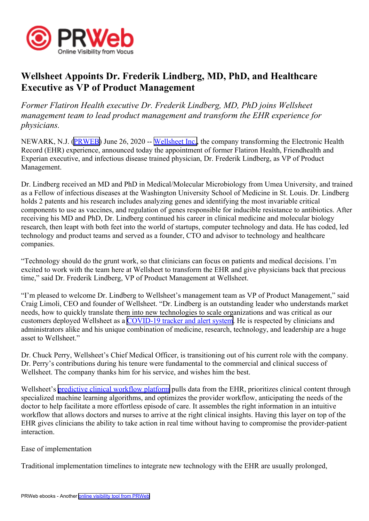

## **Wellsheet Appoints Dr. Frederik Lindberg, MD, PhD, and Healthcare Executive as VP of Product Management**

*Former Flatiron Health executive Dr. Frederik Lindberg, MD, PhD joins Wellsheet managemen<sup>t</sup> team to lead product managemen<sup>t</sup> and transform the EHR experience for physicians.*

NEWARK, N.J. ([PRWEB](http://www.prweb.com)) June 26, 2020 -- [Wellsheet](http://www.wellsheet.com) Inc., the company transforming the Electronic Health Record (EHR) experience, announced today the appointment of former Flatiron Health, Friendhealth and Experian executive, and infectious disease trained physician, Dr. Frederik Lindberg, as VP of Product Management.

Dr. Lindberg received an MD and PhD in Medical/Molecular Microbiology from Umea University, and trained as <sup>a</sup> Fellow of infectious diseases at the Washington University School of Medicine in St. Louis. Dr. Lindberg holds 2 patents and his research includes analyzing genes and identifying the most invariable critical components to use as vaccines, and regulation of genes responsible for inducible resistance to antibiotics. After receiving his MD and PhD, Dr. Lindberg continued his career in clinical medicine and molecular biology research, then leapt with both feet into the world of startups, computer technology and data. He has coded, led technology and product teams and served as <sup>a</sup> founder, CTO and advisor to technology and healthcare companies.

"Technology should do the grun<sup>t</sup> work, so that clinicians can focus on patients and medical decisions. I'm excited to work with the team here at Wellsheet to transform the EHR and give physicians back that precious time," said Dr. Frederik Lindberg, VP of Product Management at Wellsheet.

"I'm pleased to welcome Dr. Lindberg to Wellsheet's managemen<sup>t</sup> team as VP of Product Management," said Craig Limoli, CEO and founder of Wellsheet. "Dr. Lindberg is an outstanding leader who understands market needs, how to quickly translate them into new technologies to scale organizations and was critical as our customers deployed Wellsheet as <sup>a</sup> [COVID-19](https://www.wellsheet.com/covid-19) tracker and alert system. He is respected by clinicians and administrators alike and his unique combination of medicine, research, technology, and leadership are <sup>a</sup> huge asset to Wellsheet."

Dr. Chuck Perry, Wellsheet's Chief Medical Officer, is transitioning out of his current role with the company. Dr. Perry's contributions during his tenure were fundamental to the commercial and clinical success of Wellsheet. The company thanks him for his service, and wishes him the best.

Wellsheet's [predictive](https://www.wellsheet.com/product) clinical workflow platform pulls data from the EHR, prioritizes clinical content through specialized machine learning algorithms, and optimizes the provider workflow, anticipating the needs of the doctor to help facilitate <sup>a</sup> more effortless episode of care. It assembles the right information in an intuitive workflow that allows doctors and nurses to arrive at the right clinical insights. Having this layer on top of the EHR gives clinicians the ability to take action in real time without having to compromise the provider-patient interaction.

Ease of implementation

Traditional implementation timelines to integrate new technology with the EHR are usually prolonged,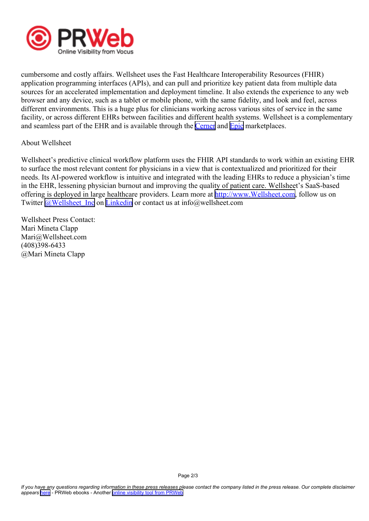

cumbersome and costly affairs. Wellsheet uses the Fast Healthcare Interoperability Resources (FHIR) application programming interfaces (APIs), and can pull and prioritize key patient data from multiple data sources for an accelerated implementation and deployment timeline. It also extends the experience to any web browser and any device, such as <sup>a</sup> tablet or mobile phone, with the same fidelity, and look and feel, across different environments. This is <sup>a</sup> huge plus for clinicians working across various sites of service in the same facility, or across different EHRs between facilities and different health systems. Wellsheet is <sup>a</sup> complementary and seamless part of the EHR and is available through the [Cerner](https://code.cerner.com/apps/wellsheet) and [Epic](https://apporchard.epic.com/Gallery?id=1376) marketplaces.

## About Wellsheet

Wellsheet's predictive clinical workflow platform uses the FHIR API standards to work within an existing EHR to surface the most relevant content for physicians in <sup>a</sup> view that is contextualized and prioritized for their needs. Its AI-powered workflow is intuitive and integrated with the leading EHRs to reduce <sup>a</sup> physician's time in the EHR, lessening physician burnout and improving the quality of patient care. Wellsheet's SaaS-based offering is deployed in large healthcare providers. Learn more at [http://www.Wellsheet.com](https://www.wellsheet.com/), follow us on Twitter [@Wellsheet\\_Inc](https://twitter.com/Wellsheet_Inc) on [Linkedin](https://www.linkedin.com/company/wellsheet/?viewAsMember=true) or contact us at info@wellsheet.com

Wellsheet Press Contact: Mari Mineta Clapp Mari@Wellsheet.com (408)398-6433 @Mari Mineta Clapp